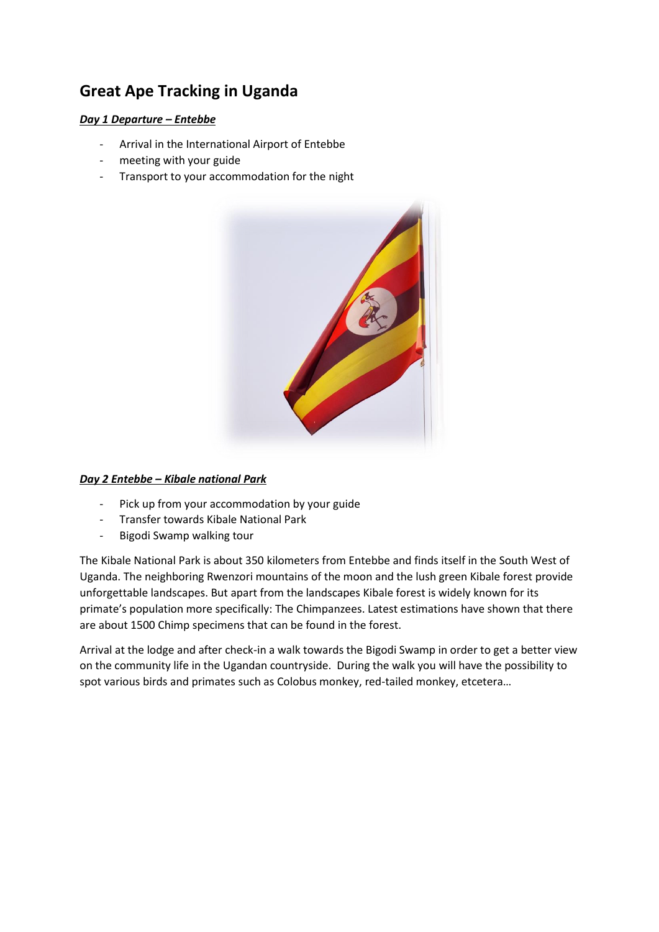# **Great Ape Tracking in Uganda**

## *Day 1 Departure – Entebbe*

- Arrival in the International Airport of Entebbe
- meeting with your guide
- Transport to your accommodation for the night



## *Day 2 Entebbe – Kibale national Park*

- Pick up from your accommodation by your guide
- Transfer towards Kibale National Park
- Bigodi Swamp walking tour

The Kibale National Park is about 350 kilometers from Entebbe and finds itself in the South West of Uganda. The neighboring Rwenzori mountains of the moon and the lush green Kibale forest provide unforgettable landscapes. But apart from the landscapes Kibale forest is widely known for its primate's population more specifically: The Chimpanzees. Latest estimations have shown that there are about 1500 Chimp specimens that can be found in the forest.

Arrival at the lodge and after check-in a walk towards the Bigodi Swamp in order to get a better view on the community life in the Ugandan countryside. During the walk you will have the possibility to spot various birds and primates such as Colobus monkey, red-tailed monkey, etcetera…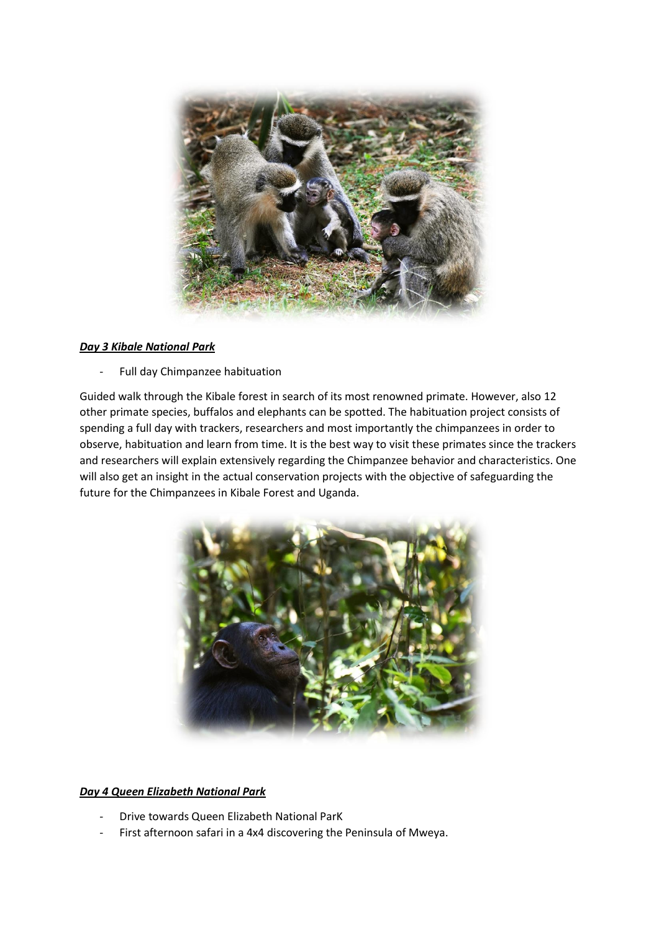

## *Day 3 Kibale National Park*

- Full day Chimpanzee habituation

Guided walk through the Kibale forest in search of its most renowned primate. However, also 12 other primate species, buffalos and elephants can be spotted. The habituation project consists of spending a full day with trackers, researchers and most importantly the chimpanzees in order to observe, habituation and learn from time. It is the best way to visit these primates since the trackers and researchers will explain extensively regarding the Chimpanzee behavior and characteristics. One will also get an insight in the actual conservation projects with the objective of safeguarding the future for the Chimpanzees in Kibale Forest and Uganda.



## *Day 4 Queen Elizabeth National Park*

- Drive towards Queen Elizabeth National ParK
- First afternoon safari in a 4x4 discovering the Peninsula of Mweya.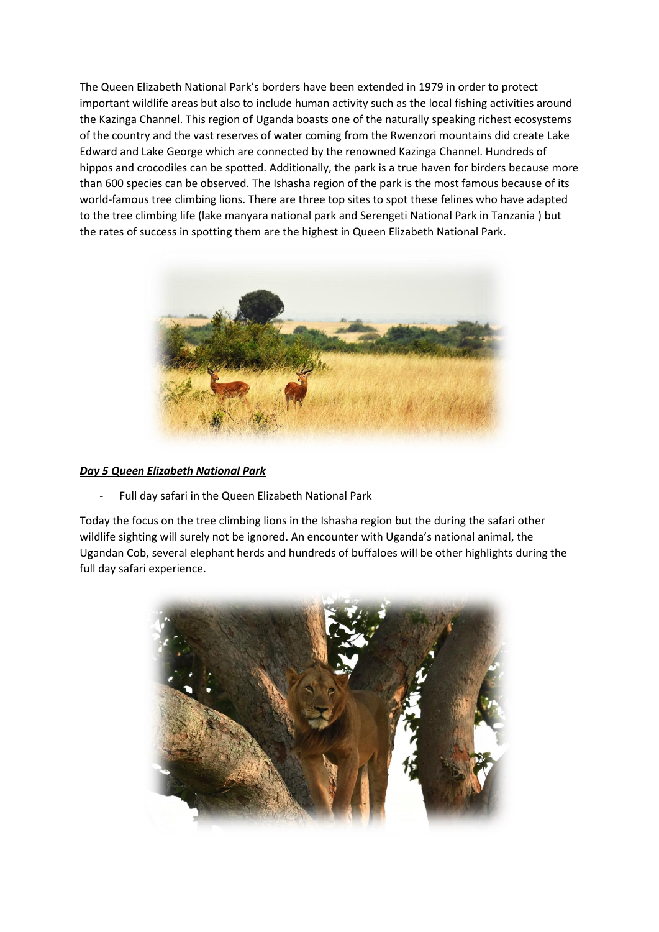The Queen Elizabeth National Park's borders have been extended in 1979 in order to protect important wildlife areas but also to include human activity such as the local fishing activities around the Kazinga Channel. This region of Uganda boasts one of the naturally speaking richest ecosystems of the country and the vast reserves of water coming from the Rwenzori mountains did create Lake Edward and Lake George which are connected by the renowned Kazinga Channel. Hundreds of hippos and crocodiles can be spotted. Additionally, the park is a true haven for birders because more than 600 species can be observed. The Ishasha region of the park is the most famous because of its world-famous tree climbing lions. There are three top sites to spot these felines who have adapted to the tree climbing life (lake manyara national park and Serengeti National Park in Tanzania ) but the rates of success in spotting them are the highest in Queen Elizabeth National Park.



## *Day 5 Queen Elizabeth National Park*

- Full day safari in the Queen Elizabeth National Park

Today the focus on the tree climbing lions in the Ishasha region but the during the safari other wildlife sighting will surely not be ignored. An encounter with Uganda's national animal, the Ugandan Cob, several elephant herds and hundreds of buffaloes will be other highlights during the full day safari experience.

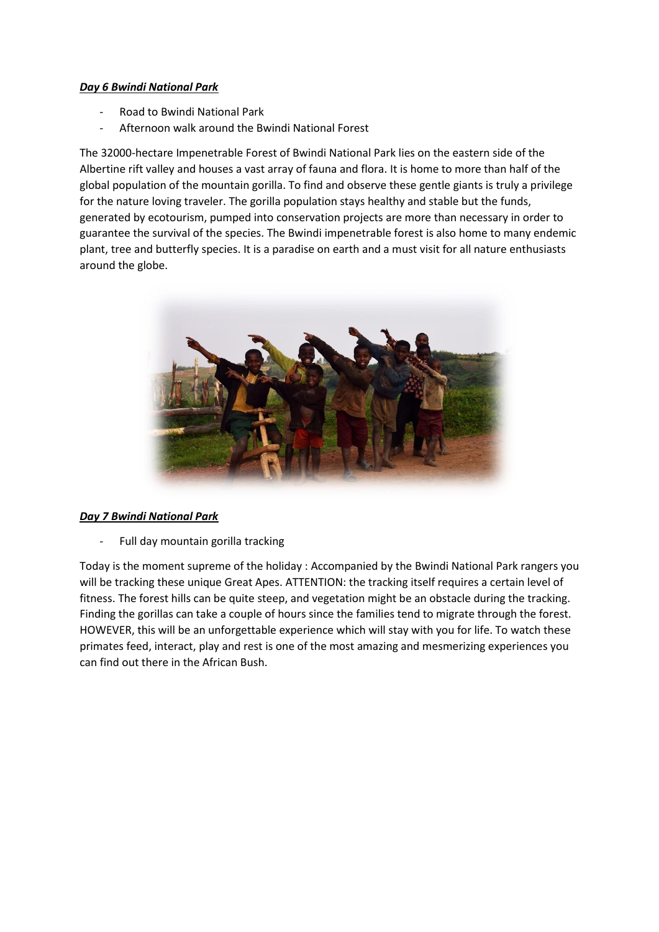## *Day 6 Bwindi National Park*

- Road to Bwindi National Park
- Afternoon walk around the Bwindi National Forest

The 32000-hectare Impenetrable Forest of Bwindi National Park lies on the eastern side of the Albertine rift valley and houses a vast array of fauna and flora. It is home to more than half of the global population of the mountain gorilla. To find and observe these gentle giants is truly a privilege for the nature loving traveler. The gorilla population stays healthy and stable but the funds, generated by ecotourism, pumped into conservation projects are more than necessary in order to guarantee the survival of the species. The Bwindi impenetrable forest is also home to many endemic plant, tree and butterfly species. It is a paradise on earth and a must visit for all nature enthusiasts around the globe.



## *Day 7 Bwindi National Park*

Full day mountain gorilla tracking

Today is the moment supreme of the holiday : Accompanied by the Bwindi National Park rangers you will be tracking these unique Great Apes. ATTENTION: the tracking itself requires a certain level of fitness. The forest hills can be quite steep, and vegetation might be an obstacle during the tracking. Finding the gorillas can take a couple of hours since the families tend to migrate through the forest. HOWEVER, this will be an unforgettable experience which will stay with you for life. To watch these primates feed, interact, play and rest is one of the most amazing and mesmerizing experiences you can find out there in the African Bush.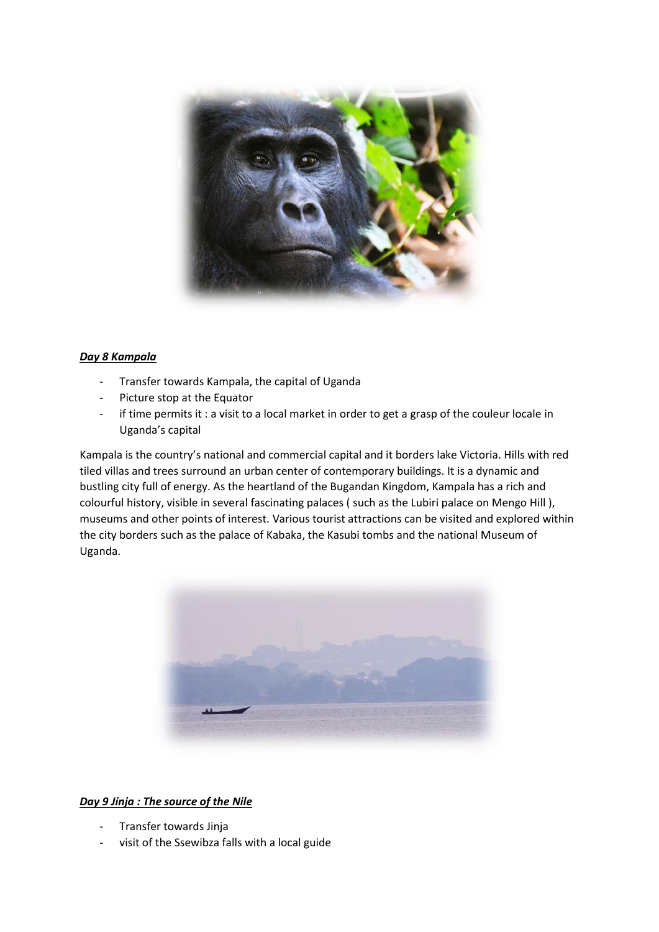

## *Day 8 Kampala*

- Transfer towards Kampala, the capital of Uganda
- Picture stop at the Equator
- if time permits it : a visit to a local market in order to get a grasp of the couleur locale in Uganda's capital

Kampala is the country's national and commercial capital and it borders lake Victoria. Hills with red tiled villas and trees surround an urban center of contemporary buildings. It is a dynamic and bustling city full of energy. As the heartland of the Bugandan Kingdom, Kampala has a rich and colourful history, visible in several fascinating palaces ( such as the Lubiri palace on Mengo Hill ), museums and other points of interest. Various tourist attractions can be visited and explored within the city borders such as the palace of Kabaka, the Kasubi tombs and the national Museum of Uganda.



## *Day 9 Jinja : The source of the Nile*

- Transfer towards Jinja
- visit of the Ssewibza falls with a local guide